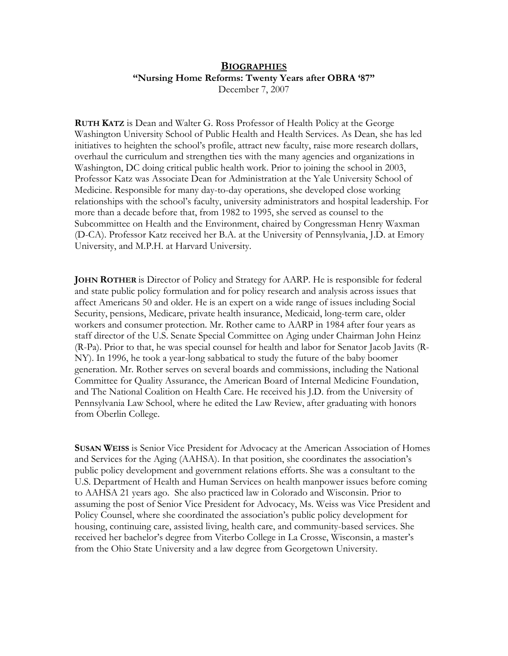## **BIOGRAPHIES "Nursing Home Reforms: Twenty Years after OBRA '87"**

December 7, 2007

**RUTH KATZ** is Dean and Walter G. Ross Professor of Health Policy at the George Washington University School of Public Health and Health Services. As Dean, she has led initiatives to heighten the school's profile, attract new faculty, raise more research dollars, overhaul the curriculum and strengthen ties with the many agencies and organizations in Washington, DC doing critical public health work. Prior to joining the school in 2003, Professor Katz was Associate Dean for Administration at the Yale University School of Medicine. Responsible for many day-to-day operations, she developed close working relationships with the school's faculty, university administrators and hospital leadership. For more than a decade before that, from 1982 to 1995, she served as counsel to the Subcommittee on Health and the Environment, chaired by Congressman Henry Waxman (D-CA). Professor Katz received her B.A. at the University of Pennsylvania, J.D. at Emory University, and M.P.H. at Harvard University.

**JOHN ROTHER** is Director of Policy and Strategy for AARP. He is responsible for federal and state public policy formulation and for policy research and analysis across issues that affect Americans 50 and older. He is an expert on a wide range of issues including Social Security, pensions, Medicare, private health insurance, Medicaid, long-term care, older workers and consumer protection. Mr. Rother came to AARP in 1984 after four years as staff director of the U.S. Senate Special Committee on Aging under Chairman John Heinz (R-Pa). Prior to that, he was special counsel for health and labor for Senator Jacob Javits (R-NY). In 1996, he took a year-long sabbatical to study the future of the baby boomer generation. Mr. Rother serves on several boards and commissions, including the National Committee for Quality Assurance, the American Board of Internal Medicine Foundation, and The National Coalition on Health Care. He received his J.D. from the University of Pennsylvania Law School, where he edited the Law Review, after graduating with honors from Oberlin College.

**SUSAN WEISS** is Senior Vice President for Advocacy at the American Association of Homes and Services for the Aging (AAHSA). In that position, she coordinates the association's public policy development and government relations efforts. She was a consultant to the U.S. Department of Health and Human Services on health manpower issues before coming to AAHSA 21 years ago. She also practiced law in Colorado and Wisconsin. Prior to assuming the post of Senior Vice President for Advocacy, Ms. Weiss was Vice President and Policy Counsel, where she coordinated the association's public policy development for housing, continuing care, assisted living, health care, and community-based services. She received her bachelor's degree from Viterbo College in La Crosse, Wisconsin, a master's from the Ohio State University and a law degree from Georgetown University.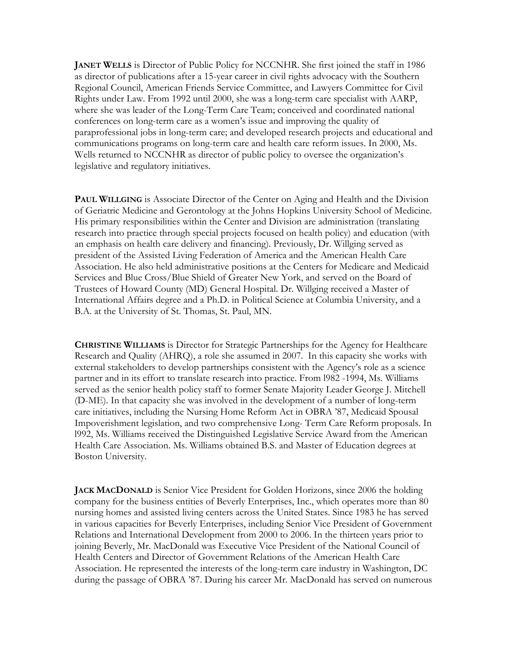**JANET WELLS** is Director of Public Policy for NCCNHR. She first joined the staff in 1986 as director of publications after a 15-year career in civil rights advocacy with the Southern Regional Council, American Friends Service Committee, and Lawyers Committee for Civil Rights under Law. From 1992 until 2000, she was a long-term care specialist with AARP, where she was leader of the Long-Term Care Team; conceived and coordinated national conferences on long-term care as a women's issue and improving the quality of paraprofessional jobs in long-term care; and developed research projects and educational and communications programs on long-term care and health care reform issues. In 2000, Ms. Wells returned to NCCNHR as director of public policy to oversee the organization's legislative and regulatory initiatives.

**PAUL WILLGING** is Associate Director of the Center on Aging and Health and the Division of Geriatric Medicine and Gerontology at the Johns Hopkins University School of Medicine. His primary responsibilities within the Center and Division are administration (translating research into practice through special projects focused on health policy) and education (with an emphasis on health care delivery and financing). Previously, Dr. Willging served as president of the Assisted Living Federation of America and the American Health Care Association. He also held administrative positions at the Centers for Medicare and Medicaid Services and Blue Cross/Blue Shield of Greater New York, and served on the Board of Trustees of Howard County (MD) General Hospital. Dr. Willging received a Master of International Affairs degree and a Ph.D. in Political Science at Columbia University, and a B.A. at the University of St. Thomas, St. Paul, MN.

**CHRISTINE WILLIAMS** is Director for Strategic Partnerships for the Agency for Healthcare Research and Quality (AHRQ), a role she assumed in 2007. In this capacity she works with external stakeholders to develop partnerships consistent with the Agency's role as a science partner and in its effort to translate research into practice. From l982 -1994, Ms. Williams served as the senior health policy staff to former Senate Majority Leader George J. Mitchell (D-ME). In that capacity she was involved in the development of a number of long-term care initiatives, including the Nursing Home Reform Act in OBRA '87, Medicaid Spousal Impoverishment legislation, and two comprehensive Long- Term Care Reform proposals. In l992, Ms. Williams received the Distinguished Legislative Service Award from the American Health Care Association. Ms. Williams obtained B.S. and Master of Education degrees at Boston University.

**JACK MACDONALD** is Senior Vice President for Golden Horizons, since 2006 the holding company for the business entities of Beverly Enterprises, Inc., which operates more than 80 nursing homes and assisted living centers across the United States. Since 1983 he has served in various capacities for Beverly Enterprises, including Senior Vice President of Government Relations and International Development from 2000 to 2006. In the thirteen years prior to joining Beverly, Mr. MacDonald was Executive Vice President of the National Council of Health Centers and Director of Government Relations of the American Health Care Association. He represented the interests of the long-term care industry in Washington, DC during the passage of OBRA '87. During his career Mr. MacDonald has served on numerous